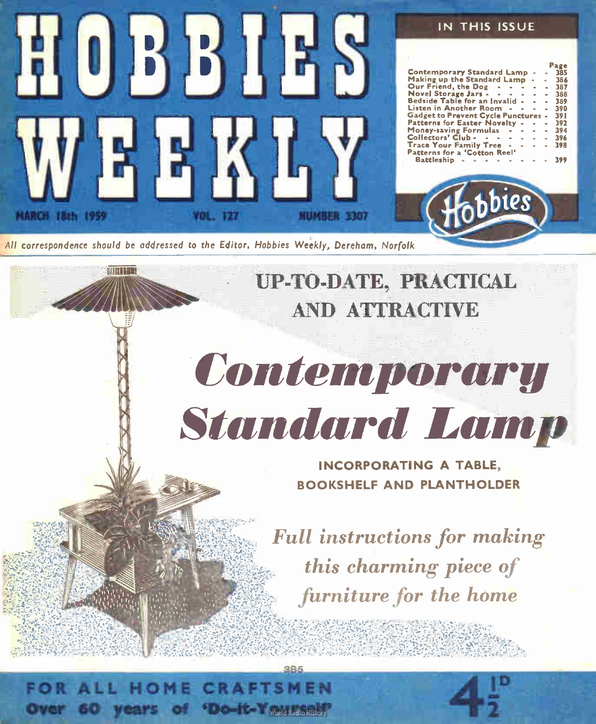

HOME CRAFTSI Over 60 years of 'Do-it-Yourkalohiston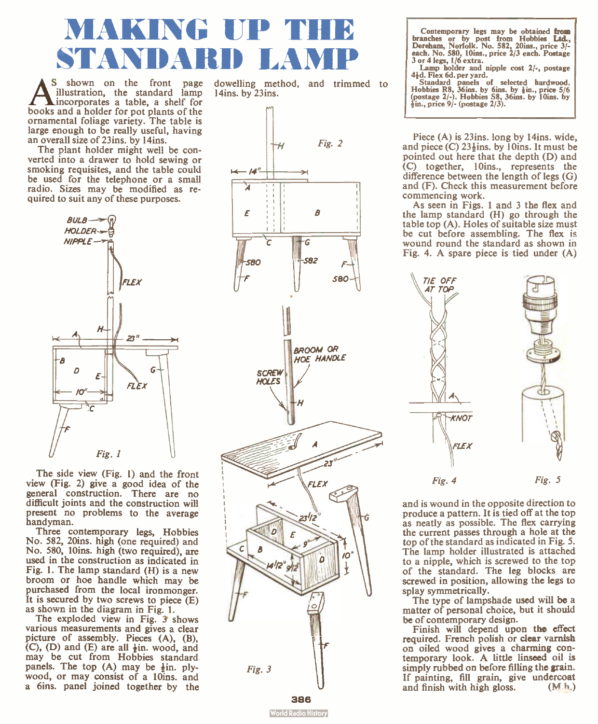## MAKING UP STANDARD LA

**A** shown on the front page<br>illustration, the standard lamp<br>books and a holder for pot plants of the<br>ornamental foliage variety. The table is S shown on the front page illustration, the standard lamp incorporates a table, a shelf for large enough to be really useful, having an overall size of 23ins. by 14ins.

The plant holder might well be converted into a drawer to hold sewing or smoking requisites, and the table could  $\leftarrow$  /4" be used for the telephone or a small radio. Sizes may be modified as required to suit any of these purposes.



The side view (Fig. 1) and the front view (Fig. 2) give a good idea of the general construction. There are no difficult joints and the construction will present no problems to the average handyman.

Three contemporary legs, Hobbies No. 582, 20ins. high (one required) and No. 580, 10ins. high (two required), are used in the construction as indicated in Fig. 1. The lamp standard (H) is a new broom or hoe handle which may be purchased from the local ironmonger. It is secured by two screws to piece  $(E)$ as shown in the diagram in Fig. 1.

The exploded view in Fig. 3 shows various measurements and gives a clear picture of assembly. Pieces (A), (B), (C), (D) and (E) are all  $\frac{1}{2}$ in. wood, and may be cut from Hobbies standard panels. The top (A) may be  $\frac{1}{2}$ in. plywood, or may consist of a 10ins, and a 6ins. panel joined together by the dowelling method, and trimmed to 14ins. by 23ins.



Contemporary legs may be obtained from branches or by post from Hobbies Ltd., Dereham, Norfolk. No. 582, 20ins., price 3/ -  $3$  or 4 legs,  $1/6$  extra.

Lamp holder and nipple cost  $2/-$ , postage  $4\frac{1}{4}d$ . Flex 6d. per yard.

4}d. Flex 6d. per yard. Standard panels of selected hardwood. Hobbies R8, 36ins. by 6ins. by ¡in., price 5/6 (postage 2/-). Hobbies S8, 36ins. by 10ins. by ¡in., price 9/- (postage 2/3).

Piece (A) is 23ins. long by 14ins. wide, and piece  $(C)$  23 $\frac{1}{2}$ ins. by 10ins. It must be pointed out here that the depth (D) and (C) together, 10ins., represents the difference between the length of legs (G) and (F). Check this measurement before commencing work.

As seen in Figs. 1 and 3 the flex and the lamp standard (H) go through the table top (A). Holes of suitable size must be cut before assembling. The flex is wound round the standard as shown in Fig. 4. A spare piece is tied under (A)



and is wound in the opposite direction to produce a pattern. It is tied off at the top as neatly as possible. The flex carrying the current passes through a hole at the top of the standard as indicated in Fig. 5. The lamp holder illustrated is attached to a nipple, which is screwed to the top of the standard. The leg blocks are screwed in position, allowing the legs to splay symmetrically.

The type of lampshade used will be a matter of personal choice, but it should be of contemporary design.

Finish will depend upon the effect required. French polish or clear varnish on oiled wood gives a charming contemporary look. A little linseed oil is simply rubbed on before filling the grain. If painting, fill grain, give undercoat<br>and finish with high gloss. (M.h.) and finish with high gloss.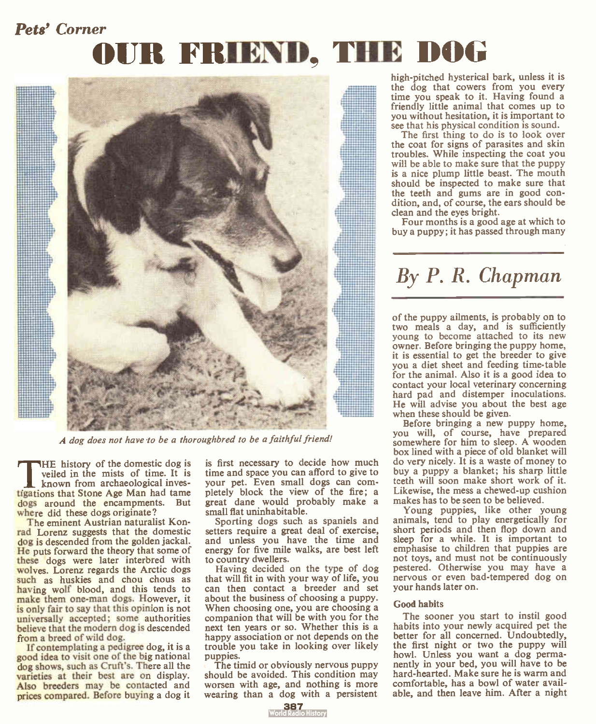### Pets' Corner

# OUR FRIEND, THE DOG



A dog does not have to be a thoroughbred to be a faithful friend!

The history of the domestic dog is<br>
known from archaeological inves-<br>
tigations that Stone Age Man had tame HE history of the domestic dog is veiled in the mists of time. It is known from archaeological invesdogs around the encampments. But where did these dogs originate?

The eminent Austrian naturalist Konrad Lorenz suggests that the domestic dog is descended from the golden jackal. He puts forward the theory that some of these dogs were later interbred with wolves. Lorenz regards the Arctic dogs such as huskies and chou chous as having wolf blood, and this tends to make them one-man dogs. However, it is only fair to say that this opinion is not universally accepted; some authorities believe that the modern dog is descended from a breed of wild dog.

If contemplating a pedigree dog, it is a good idea to visit one of the big national dog shows, such as Cruft's. There all the varieties at their best are on display. Also breeders may be contacted and prices compared. Before buying a dog it is first necessary to decide how much time and space you can afford to give to your pet. Even small dogs can completely block the view of the fire; a great dane would probably make a small flat uninhabitable.

Sporting dogs such as spaniels and setters require a great deal of exercise, and unless you have the time and energy for five mile walks, are best left to country dwellers.

Having decided on the type of dog that will fit in with your way of life, you can then contact a breeder and set about the business of choosing a puppy. When choosing one, you are choosing a companion that will be with you for the next ten years or so. Whether this is a happy association or not depends on the trouble you take in looking over likely puppies.

The timid or obviously nervous puppy should be avoided. This condition may worsen with age, and nothing is more wearing than a dog with a persistent high-pitched hysterical bark, unless it is the dog that cowers from you every time you speak to it. Having found a friendly little animal that comes up to you without hesitation, it is important to see that his physical condition is sound.

The first thing to do is to look over the coat for signs of parasites and skin troubles. While inspecting the coat you will be able to make sure that the puppy is a nice plump little beast. The mouth should be inspected to make sure that the teeth and gums are in good condition, and, of course, the ears should be clean and the eyes bright.

Four months is a good age at which to buy a puppy; it has passed through many

## By P. R. Chapman

of the puppy ailments, is probably on to two meals a day, and is sufficiently young to become attached to its new owner. Before bringing the puppy home, it is essential to get the breeder to give you a diet sheet and feeding time- table for the animal. Also it is a good idea to contact your local veterinary concerning hard pad and distemper inoculations. He will advise you about the best age when these should be given.

Before bringing a new puppy home, you will, of course, have prepared somewhere for him to sleep. A wooden box lined with a piece of old blanket will do very nicely. It is a waste of money to buy a puppy a blanket; his sharp little teeth will soon make short work of it. Likewise, the mess a chewed-up cushion makes has to be seen to be believed.

Young puppies, like other young animals, tend to play energetically for short periods and then flop down and sleep for a while. It is important to emphasise to children that puppies are not toys, and must not be continuously pestered. Otherwise you may have a nervous or even bad-tempered dog on your hands later on.

#### Good habits

The sooner you start to instil good habits into your newly acquired pet the better for all concerned. Undoubtedly, the first night or two the puppy will howl. Unless you want a dog permanently in your bed, you will have to be hard-hearted. Make sure he is warm and comfortable, has a bowl of water available, and then leave him. After a night

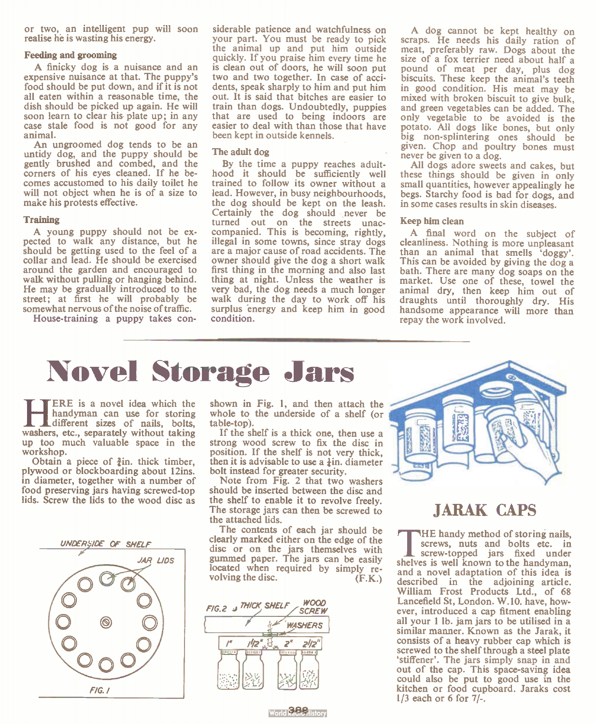or two, an intelligent pup will soon realise he is wasting his energy.

#### Feeding and grooming

A finicky dog is a nuisance and an expensive nuisance at that. The puppy's food should be put down, and if it is not all eaten within a reasonable time, the dish should be picked up again. He will soon learn to clear his plate up; in any case stale food is not good for any animal.

An ungroomed dog tends to be an untidy dog, and the puppy should be gently brushed and combed, and the corners of his eyes cleaned. If he becomes accustomed to his daily toilet he will not object when he is of a size to make his protests effective.

#### **Training**

A young puppy should not be expected to walk any distance, but he should be getting used to the feel of a collar and lead. He should be exercised around the garden and encouraged to walk without pulling or hanging behind. He may be gradually introduced to the street; at first he will probably be somewhat nervous of the noise of traffic.

House-training a puppy takes con-

siderable patience and watchfulness on your part. You must be ready to pick the animal up and put him outside quickly. If you praise him every time he is clean out of doors, he will soon put two and two together. In case of accidents, speak sharply to him and put him out. It is said that bitches are easier to train than dogs. Undoubtedly, puppies that are used to being indoors are easier to deal with than those that have been kept in outside kennels.

#### The adult dog

By the time a puppy reaches adulthood it should be sufficiently well trained to follow its owner without a lead. However, in busy neighbourhoods, the dog should be kept on the leash. Certainly the dog should never be turned out on the streets unaccompanied. This is becoming, rightly, illegal in some towns, since stray dogs are a major cause of road accidents. The owner should give the dog a short walk first thing in the morning and also last thing at night. Unless the weather is very bad, the dog needs a much longer walk during the day to work off his surplus energy and keep him in good condition.

A dog cannot be kept healthy on scraps. He needs his daily ration of meat, preferably raw. Dogs about the size of a fox terrier need about half a pound of meat per day, plus dog biscuits. These keep the animal's teeth in good condition. His meat may be mixed with broken biscuit to give bulk, and green vegetables can be added. The only vegetable to be avoided is the potato. All dogs like bones, but only big non- splintering ones should be given. Chop and poultry bones must never be given to a dog.

All dogs adore sweets and cakes, but these things should be given in only small quantities, however appealingly he begs. Starchy food is bad for dogs, and in some cases results in skin diseases.

#### Keep him clean

A final word on the subject of cleanliness. Nothing is more unpleasant than an animal that smells 'doggy'. This can be avoided by giving the dog a bath. There are many dog soaps on the market. Use one of these, towel the animal dry, then keep him out of draughts until thoroughly dry. His handsome appearance will more than repay the work involved.

## Novel Storage Jars

**HERE IS a novel idea which the handyman can use for storing** different sizes of nails, bolts, washers, etc., separately without taking ERE is a novel idea which the handyman can use for storing different sizes of nails, bolts, up too much valuable space in the workshop.

Obtain a piece of  $\frac{3}{2}$ in. thick timber, plywood or blockboarding about 12ins. in diameter, together with a number of food preserving jars having screwed-top lids. Screw the lids to the wood disc as





shown in Fig. 1, and then attach the whole to the underside of a shelf (or table-top).

If the shelf is a thick one, then use a strong wood screw to fix the disc in position. If the shelf is not very thick, then it is advisable to use a  $\frac{1}{4}$ in. diameter bolt instead for greater security.

Note from Fig. 2 that two washers should be inserted between the disc and the shelf to enable it to revolve freely. The storage jars can then be screwed to the attached lids.

The contents of each jar should be clearly marked either on the edge of the disc or on the jars themselves with gummed paper. The jars can be easily located when required by simply re-volving the disc. (F.K.)





### JARAK CAPS

THE handy method of storing nails,<br>screws, nuts and bolts etc. in<br>screw-topped jars fixed under HE handy method of storing nails, screws, nuts and bolts etc. in shelves is well known to the handyman, and a novel adaptation of this idea is described in the adjoining article. William Frost Products Ltd., of 68 Lancefield St, London. W.10. have, however, introduced a cap fitment enabling all your 1 lb. jam jars to be utilised in a similar manner. Known as the Jarak, it consists of a heavy rubber cap which is screwed to the shelf through a steel plate 'stiffener'. The jars simply snap in and out of the cap. This space-saving idea could also be put to good use in the kitchen or food cupboard. Jaraks cost 1/3 each or 6 for 7/-.

wat**a 388** islam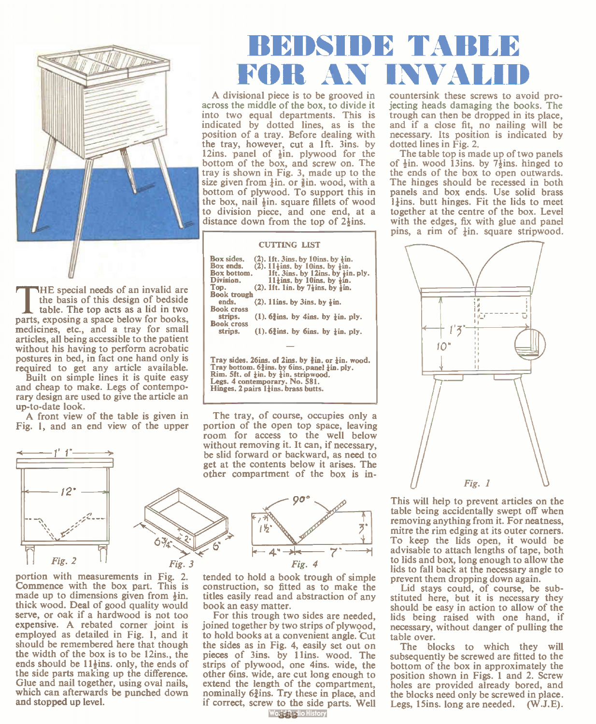

THE special needs of an invalid are<br>the basis of this design of bedside<br>table. The top acts as a lid in two<br>parts, exposing a space below for books, HE special needs of an invalid are the basis of this design of bedside table. The top acts as a lid in two medicines, etc., and a tray for small articles, all being accessible to the patient without his having to perform acrobatic postures in bed, in fact one hand only is required to get any article available.

Built on simple lines it is quite easy and cheap to make. Legs of contemporary design are used to give the article an up-to-date look.

A front view of the table is given in Fig. 1, and an end view of the upper



portion with measurements in Fig. 2. Commence with the box part. This is made up to dimensions given from  $\frac{1}{2}$ in. thick wood. Deal of good quality would serve, or oak if a hardwood is not too expensive. A rebated corner joint is employed as detailed in Fig. 1, and it should be remembered here that though the width of the box is to be 12ins., the ends should be  $11\frac{1}{2}$ ins. only, the ends of the side parts making up the difference. Glue and nail together, using oval nails, which can afterwards be punched down and stopped up level.

## BEDSIDE TABLE FOR AN

A divisional piece is to be grooved in across the middle of the box, to divide it into two equal departments. This is indicated by dotted lines, as is the position of a tray. Before dealing with the tray, however, cut a 1ft. 3ins. by 12ins. panel of  $\frac{1}{2}$ in, plywood for the bottom of the box, and screw on. The tray is shown in Fig. 3, made up to the size given from  $\frac{1}{2}$ in, or  $\frac{3}{2}$ in, wood, with a bottom of plywood. To support this in the box, nail  $\frac{1}{2}$ in. square fillets of wood to division piece, and one end, at a distance down from the top of  $2\frac{1}{2}$ ins.

#### CUTTING LIST

| Box sides.<br>Box ends. | $(2)$ . 1ft. 3ins. by 10ins. by $\frac{1}{2}$ in.<br>$(2)$ . 11 $\frac{1}{2}$ ins, by 10ins, by $\frac{1}{2}$ in. |
|-------------------------|-------------------------------------------------------------------------------------------------------------------|
| Box bottom.             | 1ft. 3ins. by 12ins. by lin. ply.                                                                                 |
| Division.               | $11\frac{1}{2}$ ins, by 10ins, by $\frac{1}{2}$ in.                                                               |
| Top.                    | $(2)$ . 1ft. 1in. by 7 $\frac{1}{2}$ ins. by $\frac{1}{2}$ in.                                                    |
| <b>Book</b> trough      |                                                                                                                   |
| ends.                   | $(2)$ . 11ins, by 3ins, by $\frac{1}{2}$ in.                                                                      |
| <b>Book cross</b>       |                                                                                                                   |
| strips.                 | $(1)$ , 6 $\frac{3}{2}$ ins, by 4 ins, by $\frac{1}{2}$ in, ply,                                                  |
| <b>Book cross</b>       |                                                                                                                   |
| strips.                 | $(1)$ . 6 $\frac{3}{2}$ ins, by 6ins, by $\frac{1}{2}$ in, ply.                                                   |
|                         |                                                                                                                   |
|                         |                                                                                                                   |

Tray sides. 26ins. of 2ins. by  $\frac{2}{3}$ in. or  $\frac{1}{6}$ in. wood. Tray bottom.  $6\frac{3}{2}$ ins. by 6ins. panel  $\frac{1}{2}$ in. ply.  $R$ im. 5ft. of  $\frac{1}{4}$ in. by  $\frac{1}{4}$ in. stripwood. Legs. 4 contemporary. No. 581. Hinges.  $2$  pairs  $1\frac{1}{2}$ ins. brass butts.

The tray, of course, occupies only a portion of the open top space, leaving room for access to the well below without removing it. It can, if necessary, be slid forward or backward, as need to get at the contents below it arises. The other compartment of the box is in-



tended to hold a book trough of simple construction, so fitted as to make the titles easily read and abstraction of any book an easy matter.

For this trough two sides are needed, joined together by two strips of plywood, to hold books at a convenient angle. 'Cut the sides as in Fig. 4, easily set out on pieces of 3ins. by 11ins. wood. The strips of plywood, one 4ins. wide, the other 6ins. wide, are cut long enough to extend the length of the compartment, nominally  $6\frac{3}{4}$ ins. Try these in place, and if correct, screw to the side parts. Well

Wods Bedio History

countersink these screws to avoid projecting heads damaging the books. The trough can then be dropped in its place, and if a close fit, no nailing will be necessary. Its position is indicated by dotted lines in Fig. 2.

The table top is made up of two panels of  $\frac{1}{2}$ in. wood 13ins. by 7 $\frac{1}{2}$ ins. hinged to the ends of the box to open outwards. The hinges should be recessed in both panels and box ends. Use solid brass  $1<sub>1</sub>$  ins. butt hinges. Fit the lids to meet together at the centre of the box. Level with the edges, fix with glue and panel pins, a rim of  $\frac{1}{2}$ in. square stripwood.



This will help to prevent articles on the table being accidentally swept off when removing anything from it. For neatness, mitre the rim edging at its outer corners. To keep the lids open, it would be advisable to attach lengths of tape, both to lids and box, long enough to allow the lids to fall back at the necessary angle to prevent them dropping down again.

Lid stays could, of course, be substituted here, but it is necessary they should be easy in action to allow of the lids being raised with one hand, if necessary, without danger of pulling the table over.

The blocks to which they will subsequently be screwed are fitted to the bottom of the box in approximately the position shown in Figs. 1 and 2. Screw holes are provided already bored, and the blocks need only be screwed in place. Legs, 15ins. long are needed. (W.J.E).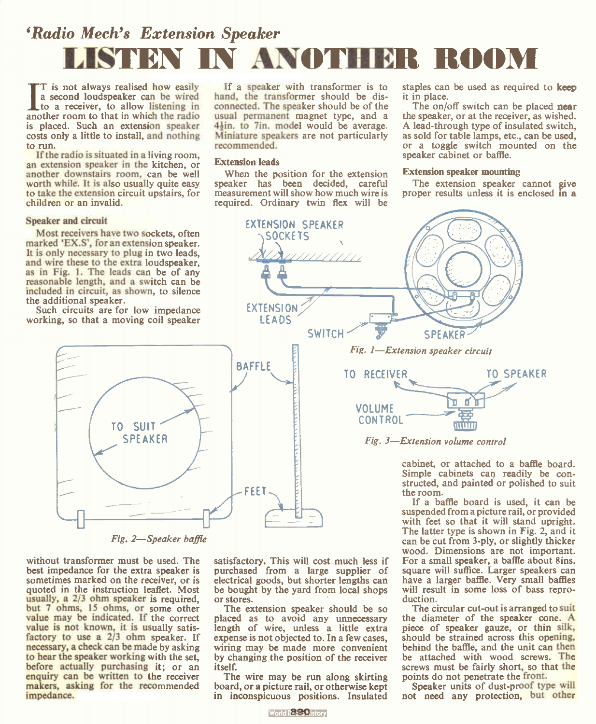## 'Radio Mech's Extension Speaker LISTEN IN ANOTHER ROOM

recommended. Extension leads

> **EXTENSION** LEADS

If a speaker with transformer is to hand, the transformer should be disconnected. The speaker should be of the usual permanent magnet type, and a 4 $\frac{1}{2}$ in. model would be average. Miniature speakers are not particularly

When the position for the extension speaker has been decided, careful measurement will show how much wire is required. Ordinary twin flex will be

I is not always realised now easily<br>a second loudspeaker can be wired<br>apother room to that in which the radio T is not always realised how easily to a receiver, to allow listening in another room to that in which the radio is placed. Such an extension speaker costs only a little to install, and nothing to run.

If the radio is situated in a living room, an extension speaker in the kitchen, or another downstairs room, can be well worth while. It is also usually quite easy to take the extension circuit upstairs, for children or an invalid.

#### Speaker and circuit

Most receivers have two sockets, often marked EX.S', for an extension speaker. It is only necessary to plug in two leads, and wire these to the extra loudspeaker, as in Fig. I. The leads can be of any reasonable length, and a switch can be included in circuit, as shown, to silence the additional speaker.

Such circuits are for low impedance working, so that a moving coil speaker



#### Fig. 2—Speaker baffle

without transformer must be used. The best impedance for the extra speaker is sometimes marked on the receiver, or is quoted in the instruction leaflet. Most usually, a 2/3 ohm speaker is required, but 7 ohms, 15 ohms, or some other value may be indicated. If the correct value is not known, it is usually satis-<br>factory to use a 2/3 ohm speaker. If necessary, a check can be made by asking to hear the speaker working with the set, before actually purchasing it; or an enquiry can be written to the receiver makers, asking for the recommended impedance.

satisfactory. This will cost much less if purchased from a large supplier of electrical goods, but shorter lengths can be bought by the yard from local shops or stores.

The extension speaker should be so placed as to avoid any unnecessary length of wire, unless a little extra expense is not objected to. In a few cases, wiring may be made more convenient by changing the position of the receiver itself.

The wire may be run along skirting board, or a picture rail, or otherwise kept in inconspicuous positions. Insulated

World **Band** Bistory

staples can be used as required to keep it in place.

The on/off switch can be placed near the speaker, or at the receiver, as wished. A lead-through type of insulated switch, as sold for table lamps, etc., can be used, or a toggle switch mounted on the speaker cabinet or baffle.

#### Extension speaker mounting

The extension speaker cannot give proper results unless it is enclosed in a





cabinet, or attached to a baffle board. Simple cabinets can readily be constructed, and painted or polished to suit the room.

If a baffle board is used, it can be suspended from a picture rail, or provided with feet so that it will stand upright. The latter type is shown in Fig. 2, and it can be cut from 3-ply, or slightly thicker wood. Dimensions are not important. For a small speaker, a baffle about 8ins. square will suffice. Larger speakers can have a larger baffle. Very small baffles will result in some loss of bass reproduction.

The circular cut-out is arranged to suit the diameter of the speaker cone. A piece of speaker gauze, or thin silk, should be strained across this opening, behind the baffle, and the unit can then be attached with wood screws. The screws must be fairly short, so that the points do not penetrate the front.

Speaker units of dust-proof type will not need any protection, but other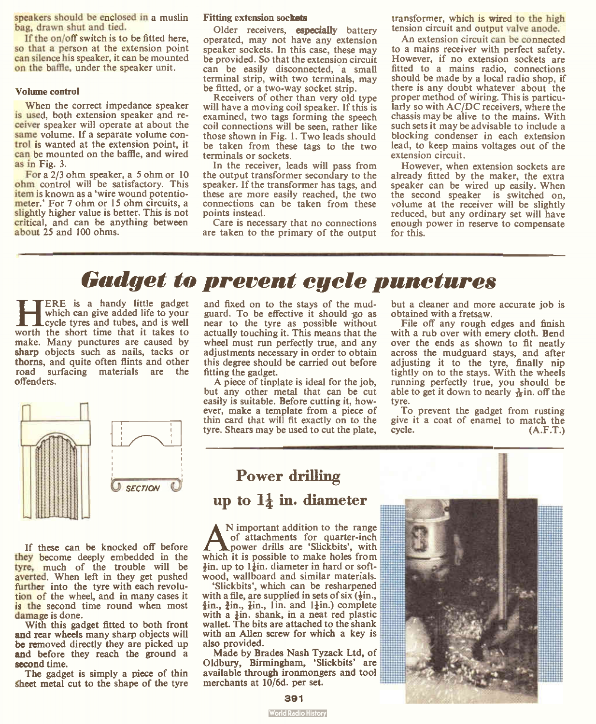speakers should be enclosed in a muslin bag, drawn shut and tied.

If the on/off switch is to be fitted here, so that a person at the extension point can silence his speaker, it can be mounted on the baffle, under the speaker unit.

#### Volume control

When the correct impedance speaker is used, both extension speaker and receiver speaker will operate at about the same volume. If a separate volume control is wanted at the extension point, it can be mounted on the baffle, and wired as in Fig. 3.

For a 2/3 ohm speaker, a 5 ohm or 10 ohm control will be satisfactory. This item is known as a 'wire wound potentiometer.' For 7 ohm or 15 ohm circuits, a slightly higher value is better. This is not critical, and can be anything between about 25 and 100 ohms.

#### Fitting extension sockets

Older receivers, especially battery operated, may not have any extension speaker sockets. In this case, these may be provided. So that the extension circuit can be easily disconnected, a small terminal strip, with two terminals, may be fitted, or a two-way socket strip.

Receivers of other than very old type will have a moving coil speaker. If this is examined, two tags forming the speech coil connections will be seen, rather like those shown in Fig. 1. Two leads should be taken from these tags to the two terminals or sockets.

In the receiver, leads will pass from the output transformer secondary to the speaker. If the transformer has tags, and these are more easily reached, the two connections can be taken from these points instead.

Care is necessary that no connections are taken to the primary of the output

transformer, which is wired to the high tension circuit and output valve anode.

An extension circuit can be connected to a mains receiver with perfect safety. However, if no extension sockets are fitted to a mains radio, connections should be made by a local radio shop, if there is any doubt whatever about the proper method of wiring. This is particularly so with AC/DC receivers, where the chassis may be alive to the mains. With such sets it may be advisable to include a blocking condenser in each extension lead, to keep mains voltages out of the extension circuit.

However, when extension sockets are already fitted by the maker, the extra speaker can be wired up easily. When the second speaker is switched on, volume at the receiver will be slightly reduced, but any ordinary set will have enough power in reserve to compensate for this.

## Gadget to prevent cycle punctures

**HERE IS a handy little gadget**<br>which can give added life to your<br>worth the short time that it takes to ERE is a handy little gadget which can give added life to your cycle tyres and tubes, and is well make. Many punctures are caused by sharp objects such as nails, tacks or thorns, and quite often flints and other road surfacing materials are the offenders.



If these can be knocked off before they become deeply embedded in the tyre, much of the trouble will be averted. When left in they get pushed further into the tyre with each revolution of the wheel, and in many cases it is the second time round when most damage is done.

With this gadget fitted to both front and rear wheels many sharp objects will be removed directly they are picked up and before they reach the ground a second time.

The gadget is simply a piece of thin sheet metal cut to the shape of the tyre

and fixed on to the stays of the mudguard. To be effective it should go as near to the tyre as possible without actually touching it. This means that the wheel must run perfectly true, and any adjustments necessary in order to obtain this degree should be carried out before fitting the gadget.

A piece of tinplate is ideal for the job, but any other metal that can be cut easily is suitable. Before cutting it, however, make a template from a piece of thin card that will fit exactly on to the tyre. Shears may be used to cut the plate,

but a cleaner and more accurate job is obtained with a fretsaw.

File off any rough edges and finish with a rub over with emery cloth. Bend over the ends as shown to fit neatly across the mudguard stays, and after adjusting it to the tyre, finally nip tightly on to the stays. With the wheels running perfectly true, you should be able to get it down to nearly  $\frac{1}{10}$  in. off the tyre.

To prevent the gadget from rusting give it a coat of enamel to match the cycle. (A.F.T.)

### Power drilling

### up to  $1\frac{1}{4}$  in. diameter

**A** N important addition to the range<br>power drills are 'Slickbits', with<br>which it is possible to make holes from N important addition to the range of attachments for quarter-inch power drills are 'Slickbits', with  $\frac{1}{2}$ in, up to 1 $\frac{1}{2}$ in. diameter in hard or softwood, wallboard and similar materials.

'Slickbits', which can be resharpened with a file, are supplied in sets of six  $(\frac{1}{2}$ in.,  $\frac{1}{2}$ in.,  $\frac{1}{2}$ in., 1 in. and 1 $\frac{1}{2}$ in.) complete with a  $\frac{1}{2}$ in. shank, in a neat red plastic wallet. The bits are attached to the shank with an Allen screw for which a key is also provided.

Made by Brades Nash Tyzack Ltd, of Oldbury, Birmingham, 'Slickbits' are available through ironmongers and tool merchants at 10/6d. per set.



**World Radio History**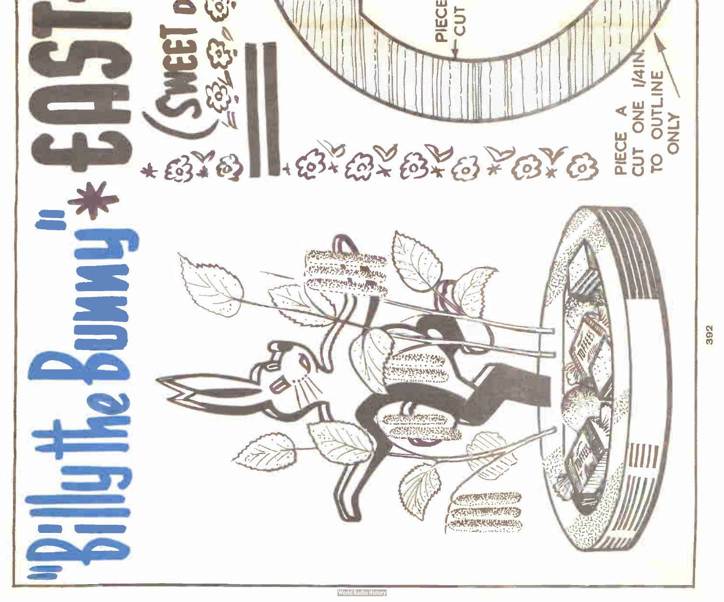

392

**World Radio History**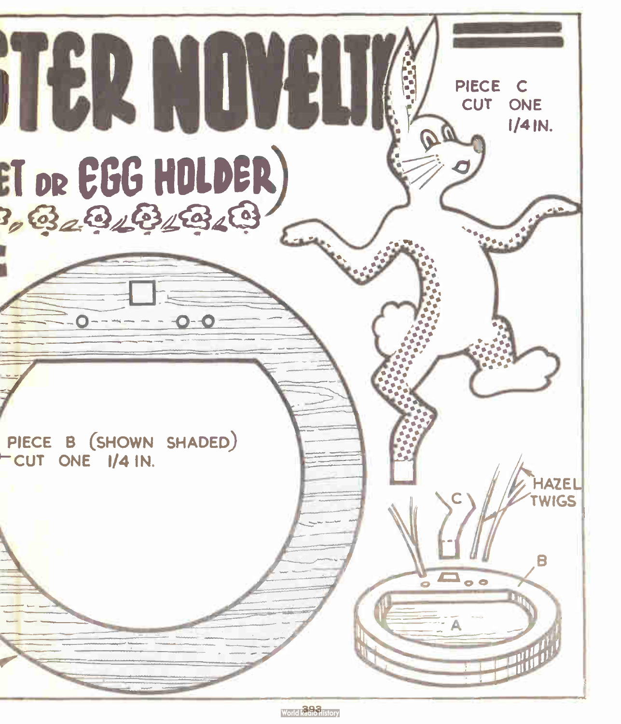

World Radio History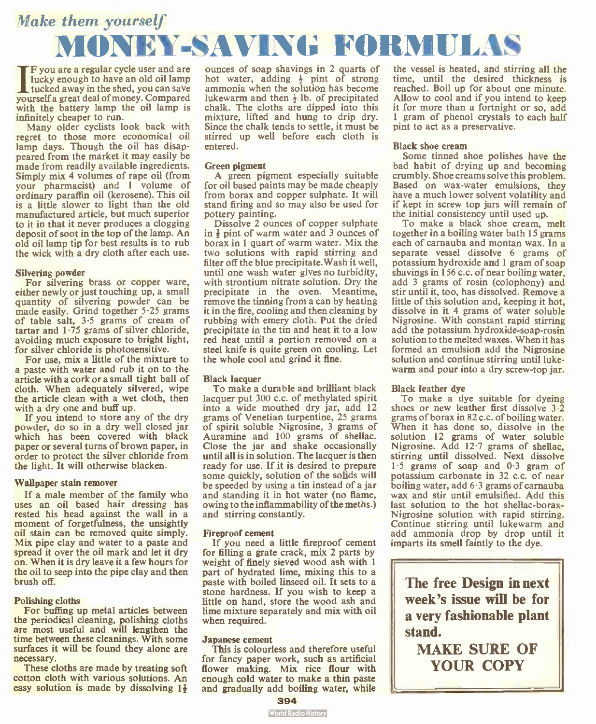## Make them yourself MONEY-SAV1NG FORMULAS

 $\prod_{\text{tuck}}^{\text{F yC}}$ F you are a regular cycle user and are lucky enough to have an old oil lamp tucked away in the shed, you can save yourself a great deal of money. Compared with the battery lamp the oil lamp is infinitely cheaper to run.

Many older cyclists look back with regret to those more economical oil lamp days. Though the oil has disappeared from the market it may easily be made from readily available ingredients. Simply mix 4 volumes of rape oil (from your pharmacist) and 1 volume of ordinary paraffin oil (kerosene). This oil is a little slower to light than the old manufactured article, but much superior to it in that it never produces a clogging deposit of soot in the top of the lamp. An old oil lamp tip for best results is to rub the wick with a dry cloth after each use.

#### Silvering powder

For silvering brass or copper ware, either newly or just touching up, a small quantity of silvering powder can be made easily. Grind together 5.25 grams of table salt, 3.5 grams of cream of tartar and 1.75 grams of silver chloride, avoiding much exposure to bright light, for silver chloride is photosensitive.

For use, mix a little of the mixture to a paste with water and rub it on to the article with a cork or a small tight ball of cloth. When adequately silvered, wipe the article clean with a wet cloth, then with a dry one and buff up.

If you intend to store any of the dry powder, do so in a dry well closed jar which has been covered with black paper or several turns of brown paper, in order to protect the silver chloride from the light. It will otherwise blacken.

#### Wallpaper stain remover

If a male member of the family who uses an oil based hair dressing has rested his head against the wall in a moment of forgetfulness, the unsightly oil stain can be removed quite simply. Mix pipe clay and water to a paste and spread it over the oil mark and let it dry on. When it is dry leave it a few hours for the oil to seep into the pipe clay and then brush off.

#### Polishing cloths

For buffing up metal articles between the periodical cleaning, polishing cloths are most useful and will lengthen the time between these cleanings. With some surfaces it will be found they alone are necessary.

These cloths are made by treating soft cotton cloth with various solutions. An easy solution is made by dissolving  $1\frac{1}{2}$  ounces of soap shavings in 2 quarts of hot water, adding  $\frac{1}{2}$  pint of strong ammonia when the solution has become lukewarm and then  $\frac{1}{2}$  lb. of precipitated chalk. The cloths are dipped into this mixture, lifted and hung to drip dry. Since the chalk tends to settle, it must be stirred up well before each cloth is entered.

#### Green pigment

A green pigment especially suitable for oil based paints may be made cheaply from borax and copper sulphate. It will stand firing and so may also be used for pottery painting.

Dissolve 2 ounces of copper sulphate in  $\frac{1}{2}$  pint of warm water and 3 ounces of borax in 1 quart of warm water. Mix the two solutions with rapid stirring and filter off the blue precipitate. Wash it well, until one wash water gives no turbidity, with strontium nitrate solution. Dry the precipitate in the oven. Meantime, remove the tinning from a can by heating it in the fire, cooling and then cleaning by rubbing with emery cloth. Put the dried precipitate in the tin and heat it to a low red heat until a portion removed on a steel knife is quite green on cooling. Let the whole cool and grind it fine.

#### Black lacquer

To make a durable and brilliant black lacquer put 300 c.c. of methylated spirit into a wide mouthed dry jar, add 12 grams of Venetian turpentine, 25 grams of spirit soluble Nigrosine, 3 grams of Auramine and 100 grams of shellac. Close the jar and shake occasionally until all is in solution. The lacquer is then ready for use. If it is desired to prepare some quickly, solution of the solids will be speeded by using a tin instead of a jar and standing it in hot water (no flame, owing to the inflammability of the meths.) and stirring constantly.

#### Fireproof cement

If you need a little fireproof cement for filling a grate crack, mix 2 parts by weight of finely sieved wood ash with 1 part of hydrated lime, mixing this to a paste with boiled linseed oil. It sets to a stone hardness. If you wish to keep a little on hand, store the wood ash and lime mixture separately and mix with oil when required.

#### Japanese cement

This is colourless and therefore useful for fancy paper work, such as artificial flower making. Mix rice flour with enough cold water to make a thin paste and gradually add boiling water, while

the vessel is heated, and stirring all the time, until the desired thickness is reached. Boil up for about one minute. Allow to cool and if you intend to keep it for more than a fortnight or so, add 1 gram of phenol crystals to each half pint to act as a preservative.

#### Black shoe cream

Some tinned shoe polishes have the bad habit of drying up and becoming crumbly. Shoe creams solve this problem. Based on wax-water emulsions, they have a much lower solvent volatility and if kept in screw top jars will remain of the initial consistency until used up.

To make a black shoe cream, melt together in a boiling water bath 15 grams each of carnauba and montan wax. In a separate vessel dissolve 6 grams of potassium hydroxide and 1 gram of soap shavings in 156 c.c. of near boiling water, add 3 grams of rosin (colophony) and stir until it, too, has dissolved. Remove a little of this solution and, keeping it hot, dissolve in it 4 grams of water soluble Nigrosine. With constant rapid stirring add the potassium hydroxide-soap-rosin solution to the melted waxes. When it has formed an emulsion add the Nigrosine solution and continue stirring until lukewarm and pour into a dry screw-top jar.

#### Black leather dye

To make a dye suitable for dyeing shoes or new leather first dissolve 3.2 grams of borax in 82 c.c. of boiling water. When it has done so, dissolve in the solution 12 grams of water soluble Nigrosine. Add 12.7 grams of shellac, stirring until dissolved. Next dissolve  $1.5$  grams of soap and  $0.3$  gram of potassium carbonate in 32 c.c. of near boiling water, add  $6.3$  grams of carnauba wax and stir until emulsified. Add this last solution to the hot shellac-borax-Nigrosine solution with rapid stirring. Continue stirring until lukewarm and add ammonia drop by drop until it imparts its smell faintly to the dye.

The free Design in next week's issue will be for a very fashionable plant stand.

MAKE SURE OF YOUR COPY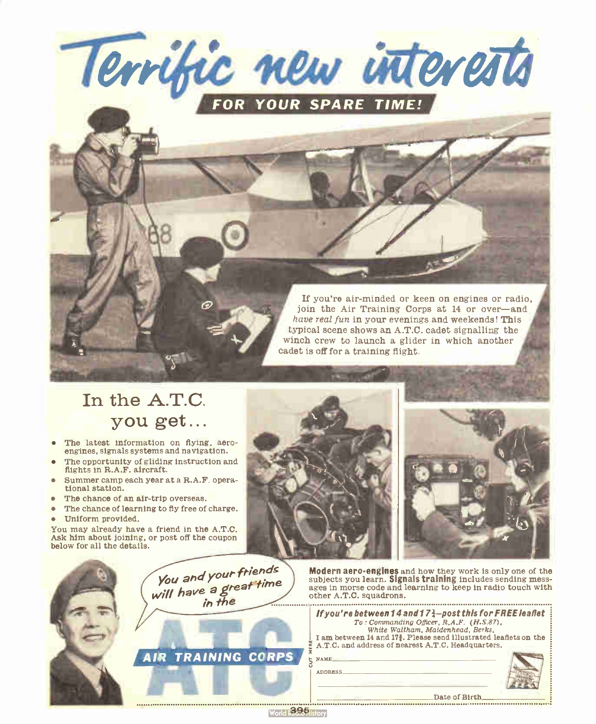

typical scene shows an A.T.C. cadet signalling the winch crew to launch a glider in which another cadet is off for a training flight.

### In the A.T.C. you get...

- The latest information on flying, aeroengines, signals systems and navigation.
- The opportunity of gliding instruction and flights in R.A.F. aircraft.
- Summer camp each year at a R.A.F. operational station.
- The chance of an air-trip overseas.
- The chance of learning to fly free of charge.
- Uniform provided.

You may already have a friend in the A.T.C. Ask him about joining, or post off the coupon below for all the details.



wata**i अस्ति संग** 





Modern aero-engines and how they work is only one of the subjects you learn. Signals training includes sending messages in morse code and learning to keep in radio touch with other A.T.C. squadrons.

If you're air-minded or keen on engines or radio, join the Air Training Corps at 14 or over—and have real fun in your evenings and weekends! This

|  | If you're between 14 and 17 $\frac{1}{2}$ -post this for FREE leaflet<br>$To: Commanding Officer, R.A.F. (H.S.87)$ ,<br>White Waltham, Maidenhead, Berks,<br>I am between 14 and 171. Please send illustrated leaflets on the<br>A.T.C. and address of nearest A.T.C. Headquarters.<br><b>NAME</b><br><b>ADDRESS</b> |
|--|----------------------------------------------------------------------------------------------------------------------------------------------------------------------------------------------------------------------------------------------------------------------------------------------------------------------|
|  | Date of Birth                                                                                                                                                                                                                                                                                                        |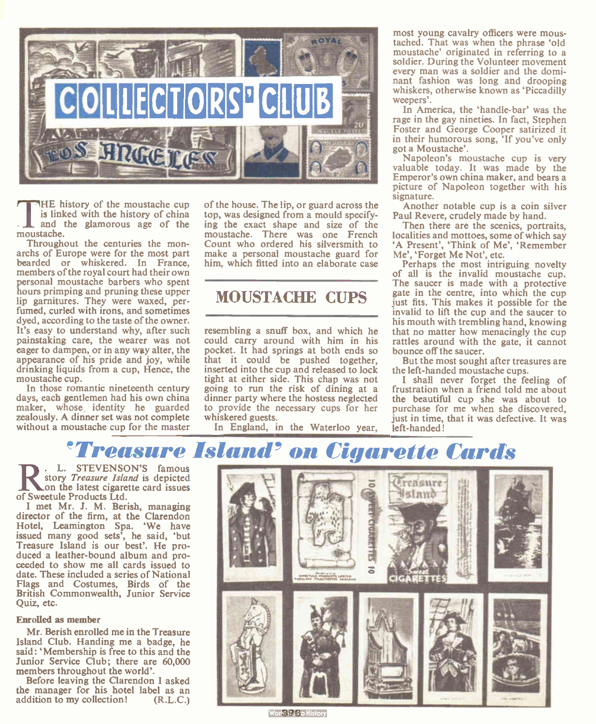

THE his<br>is linke<br>moustache. HE history of the moustache cup is linked with the history of china and the glamorous age of the

Throughout the centuries the monarchs of Europe were for the most part bearded or whiskered. In France, members of the royal court had their own personal moustache barbers who spent hours primping and pruning these upper lip garnitures. They were waxed, perfumed, curled with irons, and sometimes dyed, according to the taste of the owner. It's easy to understand why, after such painstaking care, the wearer was not eager to dampen, or in any way alter, the appearance of his pride and joy, while drinking liquids from a cup, Hence, the moustache cup.

In those romantic nineteenth century days, each gentlemen had his own china maker, whose identity he guarded zealously. A dinner set was not complete without a moustache cup for the master

of the house. The lip, or guard across the top, was designed from a mould specifying the exact shape and size of the moustache. There was one French Count who ordered his silversmith to make a personal moustache guard for him, which fitted into an elaborate case

### MOUSTACHE CUPS

resembling a snuff box, and which he could carry around with him in his pocket. It had springs at both ends so that it could be pushed together, inserted into the cup and released to lock tight at either side. This chap was not going to run the risk of dining at a dinner party where the hostess neglected to provide the necessary cups for her whiskered guests.

In England, in the Waterloo year,

most young cavalry officers were moustached. That was when the phrase 'old moustache' originated in referring to a soldier. During the Volunteer movement every man was a soldier and the dominant fashion was long and drooping whiskers, otherwise known as 'Piccadilly weepers'.

In America, the 'handle-bar' was the rage in the gay nineties. In fact, Stephen Foster and George Cooper satirized it in their humorous song, 'If you've only got a Moustache'.

Napoleon's moustache cup is very valuable today. It was made by the Emperor's own china maker, and bears a picture of Napoleon together with his signature.

Another notable cup is a coin silver Paul Revere, crudely made by hand.

Then there are the scenics, portraits, localities and mottoes, some of which say 'A Present', 'Think of Me', 'Remember Me', 'Forget Me Not', etc.

Perhaps the most intriguing novelty of all is the invalid moustache cup. The saucer is made with a protective gate in the centre, into which the cup just fits. This makes it possible for the invalid to lift the cup and the saucer to his mouth with trembling hand, knowing that no matter how menacingly the cup rattles around with the gate, it cannot bounce off the saucer.

But the most sought after treasures are the left-handed moustache cups.

I shall never forget the feeling of frustration when a friend told me about the beautiful cup she was about to purchase for me when she discovered, just in time, that it was defective. It was left-handed!

### reasure Island' on Cigarette Cards

R. L. STEVENSON<br>
story *Treasure Island*<br>
on the latest cigarett<br>
of Sweetule Products Ltd. L. STEVENSON'S famous story Treasure Island is depicted on the latest cigarette card issues

I met Mr. J. M. Berish, managing director of the firm, at the Clarendon Hotel, Leamington Spa. 'We have issued many good sets', he said, ' but Treasure Island is our best'. He produced a leather-bound album and proceeded to show me all cards issued to date. These included a series of National Flags and Costumes, Birds of the British Commonwealth, Junior Service Quiz, etc.

#### Enrolled as member

Mr. Berish enrolled me in the Treasure Island Club. Handing me a badge, he said: ' Membership is free to this and the Junior Service Club; there are 60,000 members throughout the world'.

Before leaving the Clarendon I asked the manager for his hotel label as an addition to my collection! (R.L.C.)



Work R. Gio History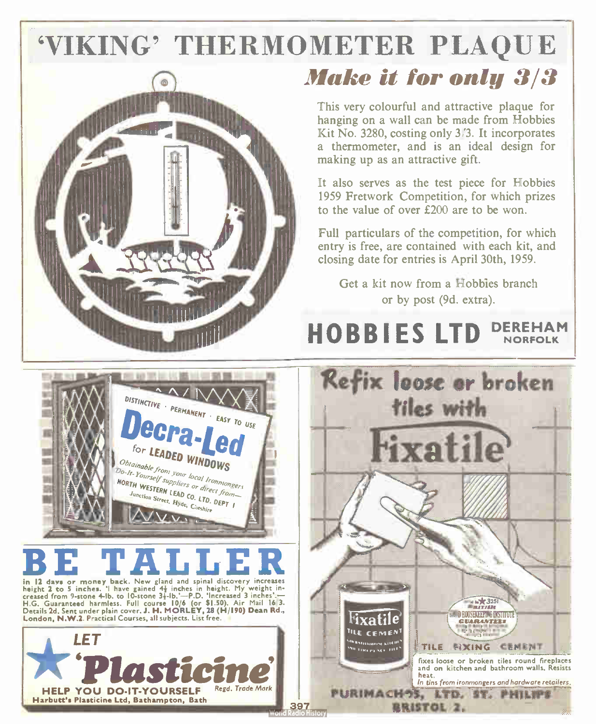# 'VIKING' THERMOMETER PLAQUE



## Make it for only 3/3

This very colourful and attractive plaque for hanging on a wall can be made from Hobbies Kit No. 3280, costing only 3/3. It incorporates a thermometer, and is an ideal design for making up as an attractive gift.

It also serves as the test piece for Hobbies 1959 Fretwork Competition, for which prizes to the value of over  $£200$  are to be won.

Full particulars of the competition, for which entry is free, are contained with each kit, and closing date for entries is April 30th, 1959.

Get a kit now from a Hobbies branch or by post (9d. extra).

### HOBBIES LTD DEREHAM NORFOLK



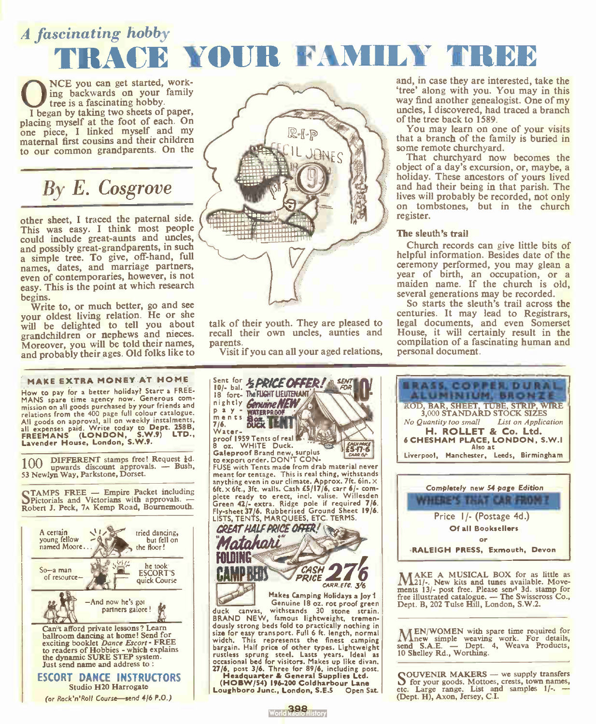## A fascinating hobby TRACE YOUR FAMILY TREE

Once you can get started, work-<br>tree is a fascinating hobby.<br>I began by taking two sheets of paper, NCE you can get started, working backwards on your family tree is a fascinating hobby.

placing myself at the foot of each. On one piece, I linked myself and my maternal first cousins and their children to our common grandparents. On the

## By E. Cosgrove

other sheet, I traced the paternal side. This was easy. I think most people could include great-aunts and uncles, and possibly great-grandparents, in such a simple tree. To give, off-hand, full names, dates, and marriage partners, even of contemporaries, however, is not easy. This is the point at which research

begins. Write to, or much better, go and see your oldest living relation. He or she will be delighted to tell you about grandchildren or nephews and nieces. Moreover, you will be told their names, and probably their ages. Old folks like to

#### MAKE EXTRA MONEY AT HOME

How to pay for a better holiday? Starr a FREE-MANS spare time agency now. Generous com-<br>mission on all goods purchased by your friends and mission on all goods purchase by your catalogue.<br>
relations from the 400 page full colour catalogue.<br>
All goods on approval, all on weekly instalments,<br> **FREEMANS** (**LONDON, S.W.9) LTD.,**<br> **FREEMANS** (**LONDON, S.W.9) LTD.,** 

DIFFERENT stamps free! Request 1d. 100 upwards discount approvals. — Bush,<br>53 Newl**yn Way, Parkstone, Dorset**.

OTAMPS FREE — Empire Packet including OPictorials and Victorians with approvals. — Robert J. Peck, 7A Kemp Road, Bournemouth.





talk of their youth. They are pleased to recall their own uncles, aunties and parents.

Visit if you can all your aged relations,



(HOBW/54) 196-200 Coldharbour Lane Loughboro Junc., London, S.E.5

and, in case they are interested, take the 'tree' along with you. You may in this way find another genealogist. One of my uncles, I discovered, had traced a branch of the tree back to 1589.

You may learn on one of your visits that a branch of the family is buried in some remote churchyard.

That churchyard now becomes the object of a day's excursion, or, maybe, a holiday. These ancestors of yours lived and had their being in that parish. The lives will probably be recorded, not only on tombstones, but in the church register.

#### The sleuth's trail

Church records can give little bits of helpful information. Besides date of the ceremony performed, you may glean a year of birth, an occupation, or a maiden name. If the church is old, several generations may be recorded.

So starts the sleuth's trail across the centuries. It may lead to Registrars, legal documents, and even Somerset House, it will certainly result in the compilation of a fascinating human and personal document.



**MAKE A MUSICAL BOX for as little as M121/-. New kits and tunes available. Move**ments 13/- post free. Please send 3d. stamp for<br>free illustrated catalogue. — The Swisscross Co., Dept. B, 202 Tulse Hill, London, S.W.2.

MEN/WOMEN with spare time required for<br>
send S.A.E. — Dept. 4, Weava Products,<br>
10 Shelley Rd., Worthing.

**COUVENIR MAKERS** — we supply transfers<br>
of for your goods, Mottoes, crests, town names,<br>
etc. Large range. List and samples 1/-. (Dept. H), Axon, Jersey, C.I.

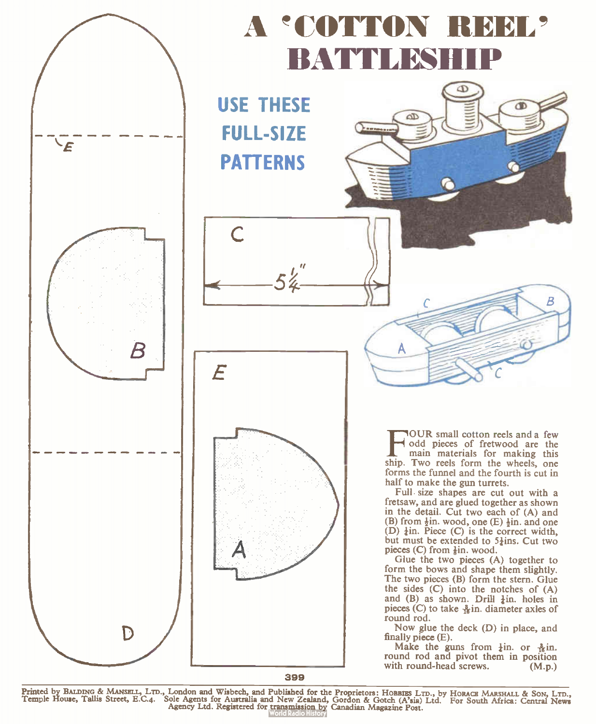

Printed by BALDING & MANSELL, LTD., London and Wisbech, and Published for the Proprietors: HoBBIES LTD., by HoRACE MARSHALL & SON, LTD.,<br>Temple House, Tallis Street, E.C.4. Sole Agents for Australia and New Zealand, Gordon